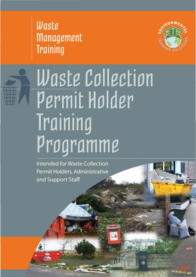Waste **Management Training** 



## Waste Collection Permit Holder Training Programme

**Intended for Waste Collection** Permit Holders, Administrative and Support Staff

LEAN IT UP